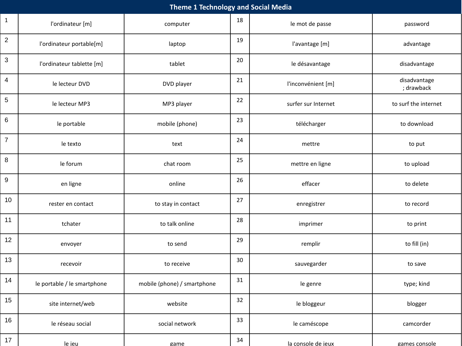| <b>Theme 1 Technology and Social Media</b> |                             |                             |    |                     |                            |  |  |  |
|--------------------------------------------|-----------------------------|-----------------------------|----|---------------------|----------------------------|--|--|--|
| $\mathbf{1}$                               | l'ordinateur [m]            | computer                    | 18 | le mot de passe     | password                   |  |  |  |
| $\sqrt{2}$                                 | l'ordinateur portable[m]    | laptop                      | 19 | l'avantage [m]      | advantage                  |  |  |  |
| $\ensuremath{\mathsf{3}}$                  | l'ordinateur tablette [m]   | tablet                      | 20 | le désavantage      | disadvantage               |  |  |  |
| 4                                          | le lecteur DVD              | DVD player                  | 21 | l'inconvénient [m]  | disadvantage<br>; drawback |  |  |  |
| $\,$ 5 $\,$                                | le lecteur MP3              | MP3 player                  | 22 | surfer sur Internet | to surf the internet       |  |  |  |
| 6                                          | le portable                 | mobile (phone)              | 23 | télécharger         | to download                |  |  |  |
| $\boldsymbol{7}$                           | le texto                    | text                        | 24 | mettre              | to put                     |  |  |  |
| 8                                          | le forum                    | chat room                   | 25 | mettre en ligne     | to upload                  |  |  |  |
| $\boldsymbol{9}$                           | en ligne                    | online                      | 26 | effacer             | to delete                  |  |  |  |
| 10                                         | rester en contact           | to stay in contact          | 27 | enregistrer         | to record                  |  |  |  |
| 11                                         | tchater                     | to talk online              | 28 | imprimer            | to print                   |  |  |  |
| 12                                         | envoyer                     | to send                     | 29 | remplir             | to fill (in)               |  |  |  |
| 13                                         | recevoir                    | to receive                  | 30 | sauvegarder         | to save                    |  |  |  |
| 14                                         | le portable / le smartphone | mobile (phone) / smartphone | 31 | le genre            | type; kind                 |  |  |  |
| 15                                         | site internet/web           | website                     | 32 | le bloggeur         | blogger                    |  |  |  |
| 16                                         | le réseau social            | social network              | 33 | le caméscope        | camcorder                  |  |  |  |
| 17                                         | le ieu                      | game                        | 34 | la console de jeux  | games console              |  |  |  |